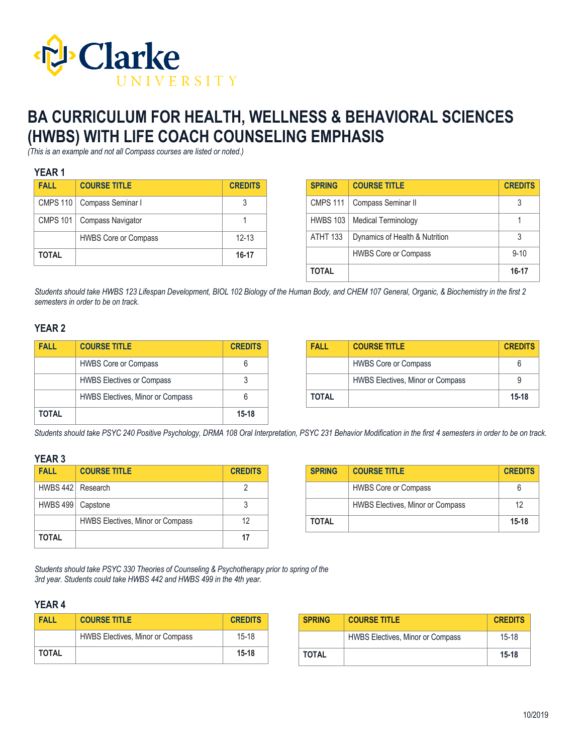

# **BA CURRICULUM FOR HEALTH, WELLNESS & BEHAVIORAL SCIENCES (HWBS) WITH LIFE COACH COUNSELING EMPHASIS**

*(This is an example and not all Compass courses are listed or noted.)*

| <b>YEAR1</b><br><b>FALL</b> | <b>COURSE TITLE</b>         | <b>CREDITS</b> |
|-----------------------------|-----------------------------|----------------|
| CMPS 110                    | Compass Seminar I           |                |
| <b>CMPS 101</b>             | Compass Navigator           |                |
|                             | <b>HWBS Core or Compass</b> | $12 - 13$      |
| <b>TOTAL</b>                |                             | $16 - 17$      |

| <b>SPRING</b>   | <b>COURSE TITLE</b>            | <b>CREDITS</b> |
|-----------------|--------------------------------|----------------|
| <b>CMPS 111</b> | Compass Seminar II             | 3              |
| <b>HWBS 103</b> | <b>Medical Terminology</b>     |                |
| <b>ATHT 133</b> | Dynamics of Health & Nutrition | 3              |
|                 | <b>HWBS Core or Compass</b>    | $9 - 10$       |
| TOTAL           |                                | 16-17          |

*Students should take HWBS 123 Lifespan Development, BIOL 102 Biology of the Human Body, and CHEM 107 General, Organic, & Biochemistry in the first 2 semesters in order to be on track.*

## **YEAR 2**

| FALL  | <b>COURSE TITLE</b>                     | <b>CREDITS</b> |
|-------|-----------------------------------------|----------------|
|       | <b>HWBS Core or Compass</b>             |                |
|       | <b>HWBS Electives or Compass</b>        |                |
|       | <b>HWBS Electives, Minor or Compass</b> |                |
| TOTAL |                                         | $15 - 18$      |

| <b>FAII</b> | <b>COURSE TITLE</b>                     | <b>CREDITS</b> |
|-------------|-----------------------------------------|----------------|
|             | <b>HWBS Core or Compass</b>             |                |
|             | <b>HWBS Electives, Minor or Compass</b> |                |
| TOTAL       |                                         | $15 - 18$      |

*Students should take PSYC 240 Positive Psychology, DRMA 108 Oral Interpretation, PSYC 231 Behavior Modification in the first 4 semesters in order to be on track.*

#### **YEAR 3**

| <b>FALL</b>         | <b>COURSE TITLE</b>                     | <b>CREDITS</b> |
|---------------------|-----------------------------------------|----------------|
| HWBS 442   Research |                                         |                |
| HWBS 499   Capstone |                                         |                |
|                     | <b>HWBS Electives, Minor or Compass</b> | 12             |
| TOTAL               |                                         | 17             |

| <b>SPRING</b> | <b>COURSE TITLE</b>                     | <b>CREDITS</b> |
|---------------|-----------------------------------------|----------------|
|               | <b>HWBS Core or Compass</b>             |                |
|               | <b>HWBS Electives, Minor or Compass</b> | 12             |
| TOTAL         |                                         | $15 - 18$      |

*Students should take PSYC 330 Theories of Counseling & Psychotherapy prior to spring of the 3rd year. Students could take HWBS 442 and HWBS 499 in the 4th year.*

| <b>FALL</b>  | <b>COURSE TITLE</b>                     | <b>CREDITS</b> |
|--------------|-----------------------------------------|----------------|
|              | <b>HWBS Electives, Minor or Compass</b> | $15-18$        |
| <b>TOTAL</b> |                                         | $15 - 18$      |

| <b>SPRING</b> | <b>COURSE TITLE</b>                     | <b>CREDITS</b> |
|---------------|-----------------------------------------|----------------|
|               | <b>HWBS Electives, Minor or Compass</b> | $15-18$        |
| <b>TOTAL</b>  |                                         | $15 - 18$      |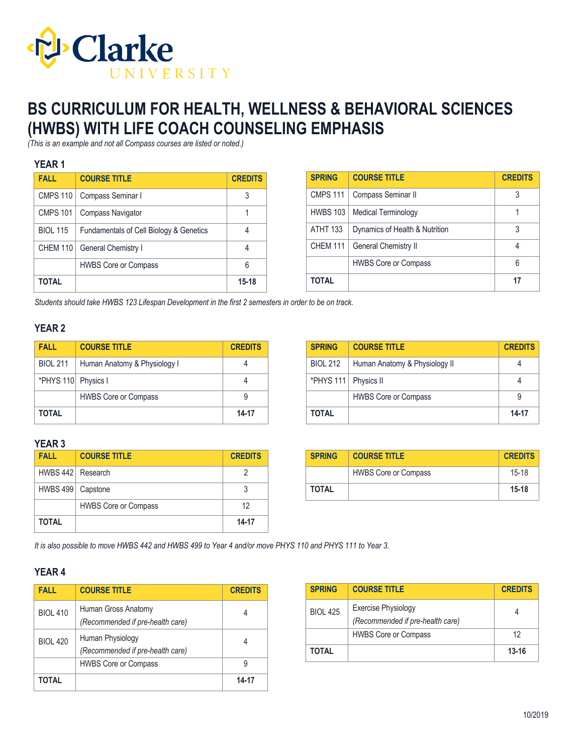

# **BS CURRICULUM FOR HEALTH, WELLNESS & BEHAVIORAL SCIENCES (HWBS) WITH LIFE COACH COUNSELING EMPHASIS**

*(This is an example and not all Compass courses are listed or noted.)*

### **YEAR 1**

| <b>FALL</b>     | <b>COURSE TITLE</b>                                | <b>CREDITS</b> |
|-----------------|----------------------------------------------------|----------------|
| <b>CMPS 110</b> | Compass Seminar I                                  | 3              |
| <b>CMPS 101</b> | Compass Navigator                                  |                |
| <b>BIOL 115</b> | <b>Fundamentals of Cell Biology &amp; Genetics</b> |                |
| <b>CHEM 110</b> | General Chemistry I                                |                |
|                 | <b>HWBS Core or Compass</b>                        | 6              |
| TOTAL           |                                                    | $15 - 18$      |

| <b>SPRING</b>   | <b>COURSE TITLE</b>            | <b>CREDITS</b> |
|-----------------|--------------------------------|----------------|
| <b>CMPS 111</b> | Compass Seminar II             | 3              |
| <b>HWBS 103</b> | <b>Medical Terminology</b>     |                |
| <b>ATHT 133</b> | Dynamics of Health & Nutrition | 3              |
| <b>CHEM 111</b> | <b>General Chemistry II</b>    | 4              |
|                 | <b>HWBS Core or Compass</b>    | հ              |
| <b>TOTAL</b>    |                                | 17             |

*Students should take HWBS 123 Lifespan Development in the first 2 semesters in order to be on track.*

### **YEAR 2**

| <b>FALL</b>         | <b>COURSE TITLE</b>          | <b>CREDITS</b> |
|---------------------|------------------------------|----------------|
| <b>BIOL 211</b>     | Human Anatomy & Physiology I |                |
| *PHYS 110 Physics I |                              |                |
|                     | <b>HWBS Core or Compass</b>  |                |
| <b>TOTAL</b>        |                              | 14-17          |

| <b>SPRING</b>          | <b>COURSE TITLE</b>           | <b>CREDITS</b> |
|------------------------|-------------------------------|----------------|
| <b>BIOL 212</b>        | Human Anatomy & Physiology II |                |
| *PHYS 111   Physics II |                               |                |
|                        | <b>HWBS Core or Compass</b>   |                |
| TOTAL                  |                               | 14-17          |

#### **YEAR 3**

| <b>FALL</b>         | <b>COURSE TITLE</b>         | <b>CREDITS</b> |
|---------------------|-----------------------------|----------------|
| HWBS 442 Research   |                             |                |
| HWBS 499   Capstone |                             |                |
|                     | <b>HWBS Core or Compass</b> | 12             |
| <b>TOTAL</b>        |                             | 14-17          |

| <b>SPRING</b> | <b>COURSE TITLE</b>         | <b>CREDITS</b> |
|---------------|-----------------------------|----------------|
|               | <b>HWBS Core or Compass</b> | $15-18$        |
| <b>TOTAL</b>  |                             | $15 - 18$      |

*It is also possible to move HWBS 442 and HWBS 499 to Year 4 and/or move PHYS 110 and PHYS 111 to Year 3.*

| <b>FALL</b>     | <b>COURSE TITLE</b>                                     | <b>CREDITS</b> |
|-----------------|---------------------------------------------------------|----------------|
| <b>BIOL 410</b> | Human Gross Anatomy<br>(Recommended if pre-health care) |                |
| <b>BIOL 420</b> | Human Physiology<br>(Recommended if pre-health care)    |                |
|                 | <b>HWBS Core or Compass</b>                             |                |
| ΤΟΤΑΙ           |                                                         | 14-17          |

| <b>SPRING</b>   | <b>COURSE TITLE</b>                                            | <b>CREDITS</b> |
|-----------------|----------------------------------------------------------------|----------------|
| <b>BIOL 425</b> | <b>Exercise Physiology</b><br>(Recommended if pre-health care) |                |
|                 | <b>HWBS Core or Compass</b>                                    | 12             |
| TOTAL           |                                                                | $13 - 16$      |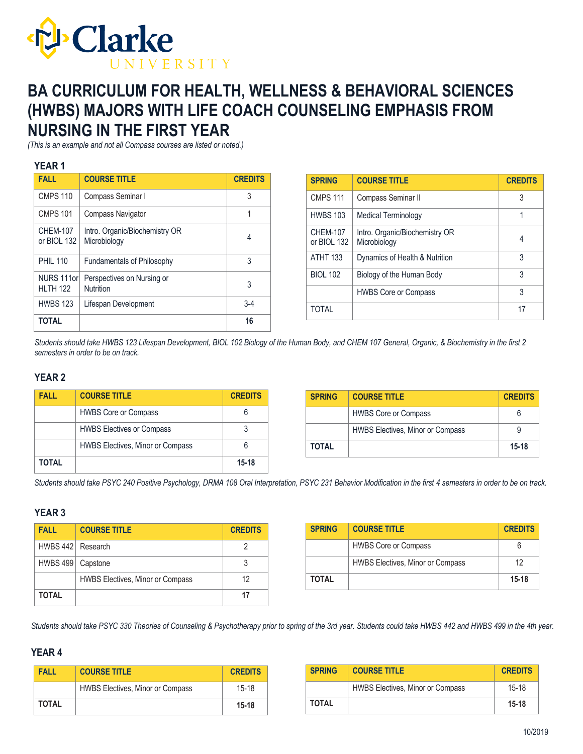

# **BA CURRICULUM FOR HEALTH, WELLNESS & BEHAVIORAL SCIENCES (HWBS) MAJORS WITH LIFE COACH COUNSELING EMPHASIS FROM NURSING IN THE FIRST YEAR**

*(This is an example and not all Compass courses are listed or noted.)*

#### **YEAR 1**

| <b>FALL</b>                     | <b>COURSE TITLE</b>                            | <b>CREDITS</b> |
|---------------------------------|------------------------------------------------|----------------|
| <b>CMPS 110</b>                 | Compass Seminar I                              | 3              |
| <b>CMPS 101</b>                 | <b>Compass Navigator</b>                       | 1              |
| <b>CHEM-107</b><br>or BIOL 132  | Intro. Organic/Biochemistry OR<br>Microbiology | 4              |
| <b>PHIL 110</b>                 | <b>Fundamentals of Philosophy</b>              | 3              |
| NURS 111orl<br><b>HI TH 122</b> | Perspectives on Nursing or<br>Nutrition        | 3              |
| <b>HWBS 123</b>                 | Lifespan Development                           | $3-4$          |
| <b>TOTAL</b>                    |                                                | 16             |

| <b>SPRING</b>                  | <b>COURSE TITLE</b>                            | <b>CREDITS</b> |
|--------------------------------|------------------------------------------------|----------------|
| <b>CMPS 111</b>                | Compass Seminar II                             | 3              |
| <b>HWBS 103</b>                | Medical Terminology                            | 1              |
| <b>CHEM-107</b><br>or BIOL 132 | Intro. Organic/Biochemistry OR<br>Microbiology | 4              |
| <b>ATHT 133</b>                | Dynamics of Health & Nutrition                 | 3              |
| <b>BIOL 102</b>                | Biology of the Human Body                      | 3              |
|                                | <b>HWBS Core or Compass</b>                    | 3              |
| TOTAI                          |                                                | 17             |

*Students should take HWBS 123 Lifespan Development, BIOL 102 Biology of the Human Body, and CHEM 107 General, Organic, & Biochemistry in the first 2 semesters in order to be on track.*

### **YEAR 2**

| FALL  | <b>COURSE TITLE</b>                     | <b>CREDITS</b> |
|-------|-----------------------------------------|----------------|
|       | <b>HWBS Core or Compass</b>             |                |
|       | <b>HWBS Electives or Compass</b>        |                |
|       | <b>HWBS Electives, Minor or Compass</b> |                |
| TOTAL |                                         | $15 - 18$      |

| <b>SPRING</b> | <b>COURSE TITLE</b>                     | <b>CREDITS</b> |
|---------------|-----------------------------------------|----------------|
|               | <b>HWBS Core or Compass</b>             | 6              |
|               | <b>HWBS Electives, Minor or Compass</b> |                |
| TOTAL         |                                         | $15 - 18$      |

*Students should take PSYC 240 Positive Psychology, DRMA 108 Oral Interpretation, PSYC 231 Behavior Modification in the first 4 semesters in order to be on track.*

#### **YEAR 3**

| <b>FALL</b>       | <b>COURSE TITLE</b>                     | <b>CREDITS</b> |
|-------------------|-----------------------------------------|----------------|
| HWBS 442 Research |                                         |                |
| HWBS 499 Capstone |                                         |                |
|                   | <b>HWBS Electives, Minor or Compass</b> | 12             |
| <b>TOTAL</b>      |                                         | 17             |

| <b>SPRING</b> | <b>COURSE TITLE</b>                     | <b>CREDITS</b> |
|---------------|-----------------------------------------|----------------|
|               | <b>HWBS Core or Compass</b>             |                |
|               | <b>HWBS Electives, Minor or Compass</b> | 12             |
| TOTAL         |                                         | $15 - 18$      |

*Students should take PSYC 330 Theories of Counseling & Psychotherapy prior to spring of the 3rd year. Students could take HWBS 442 and HWBS 499 in the 4th year.*

| FALL         | <b>COURSE TITLE</b>                     | <b>CREDITS</b> |
|--------------|-----------------------------------------|----------------|
|              | <b>HWBS Electives, Minor or Compass</b> | $15-18$        |
| <b>TOTAL</b> |                                         | $15 - 18$      |

| <b>SPRING</b> | <b>COURSE TITLE</b>                     | <b>CREDITS</b> |
|---------------|-----------------------------------------|----------------|
|               | <b>HWBS Electives, Minor or Compass</b> | $15 - 18$      |
| <b>TOTAL</b>  |                                         | $15 - 18$      |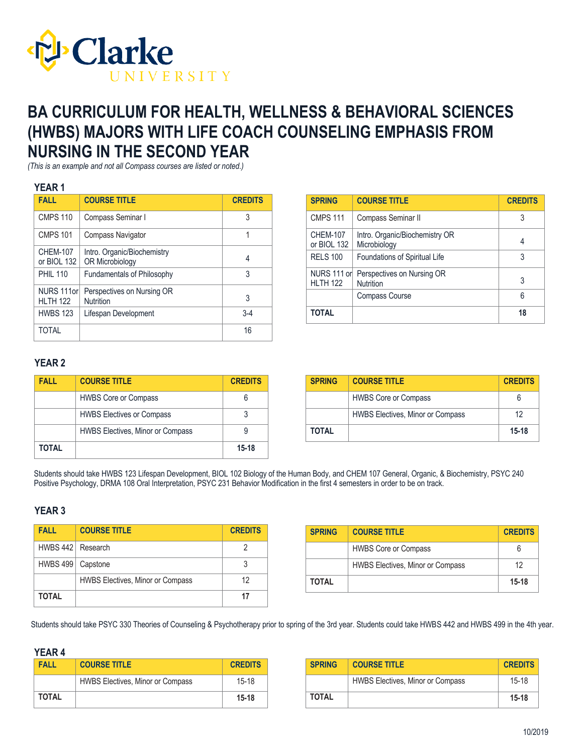

# **BA CURRICULUM FOR HEALTH, WELLNESS & BEHAVIORAL SCIENCES (HWBS) MAJORS WITH LIFE COACH COUNSELING EMPHASIS FROM NURSING IN THE SECOND YEAR**

*(This is an example and not all Compass courses are listed or noted.)*

### **YEAR 1**

| <b>FALL</b>                    | <b>COURSE TITLE</b>                            | <b>CREDITS</b> |
|--------------------------------|------------------------------------------------|----------------|
| <b>CMPS 110</b>                | Compass Seminar I                              | 3              |
| <b>CMPS 101</b>                | Compass Navigator                              |                |
| <b>CHEM-107</b><br>or BIOL 132 | Intro. Organic/Biochemistry<br>OR Microbiology | 4              |
| <b>PHIL 110</b>                | <b>Fundamentals of Philosophy</b>              | 3              |
| NURS 111orl<br><b>HLTH 122</b> | Perspectives on Nursing OR<br>Nutrition        | 3              |
| <b>HWBS 123</b>                | Lifespan Development                           | $3-4$          |
| <b>TOTAL</b>                   |                                                | 16             |

| <b>SPRING</b>                   | <b>COURSE TITLE</b>                            | <b>CREDITS</b> |
|---------------------------------|------------------------------------------------|----------------|
| <b>CMPS 111</b>                 | Compass Seminar II                             | 3              |
| <b>CHEM-107</b><br>or BIOL 132  | Intro. Organic/Biochemistry OR<br>Microbiology | 4              |
| <b>RELS 100</b>                 | Foundations of Spiritual Life                  | 3              |
| NURS 111 orl<br><b>HLTH 122</b> | Perspectives on Nursing OR<br><b>Nutrition</b> | 3              |
|                                 | <b>Compass Course</b>                          | 6              |
| TOTAL                           |                                                | 18             |

### **YEAR 2**

| FAII  | <b>COURSE TITLE</b>                     | <b>CREDITS</b> |
|-------|-----------------------------------------|----------------|
|       | <b>HWBS Core or Compass</b>             |                |
|       | <b>HWBS Electives or Compass</b>        |                |
|       | <b>HWBS Electives, Minor or Compass</b> |                |
| TOTAL |                                         | $15 - 18$      |

| <b>SPRING</b> | <b>COURSE TITLE</b>                     | <b>CREDITS</b> |
|---------------|-----------------------------------------|----------------|
|               | <b>HWBS Core or Compass</b>             | 6              |
|               | <b>HWBS Electives, Minor or Compass</b> | 12             |
| <b>TOTAL</b>  |                                         | $15 - 18$      |

Students should take HWBS 123 Lifespan Development, BIOL 102 Biology of the Human Body, and CHEM 107 General, Organic, & Biochemistry, PSYC 240 Positive Psychology, DRMA 108 Oral Interpretation, PSYC 231 Behavior Modification in the first 4 semesters in order to be on track.

#### **YEAR 3**

| <b>FALL</b>         | <b>COURSE TITLE</b>                     | <b>CREDITS</b> |
|---------------------|-----------------------------------------|----------------|
| HWBS 442 Research   |                                         |                |
| HWBS 499   Capstone |                                         |                |
|                     | <b>HWBS Electives, Minor or Compass</b> | 12             |
| TOTAL               |                                         | 17             |

| <b>SPRING</b> | <b>COURSE TITLE</b>                     | <b>CREDITS</b> |
|---------------|-----------------------------------------|----------------|
|               | <b>HWBS Core or Compass</b>             |                |
|               | <b>HWBS Electives, Minor or Compass</b> | 12             |
| TOTAL         |                                         | $15 - 18$      |

Students should take PSYC 330 Theories of Counseling & Psychotherapy prior to spring of the 3rd year. Students could take HWBS 442 and HWBS 499 in the 4th year.

| FALL         | <b>COURSE TITLE</b>              | <b>CREDITS</b> |
|--------------|----------------------------------|----------------|
|              | HWBS Electives, Minor or Compass | $15-18$        |
| <b>TOTAL</b> |                                  | $15 - 18$      |

| <b>SPRING</b> | <b>COURSE TITLE</b>                     | <b>CREDITS</b> |
|---------------|-----------------------------------------|----------------|
|               | <b>HWBS Electives, Minor or Compass</b> | $15-18$        |
| <b>TOTAL</b>  |                                         | $15 - 18$      |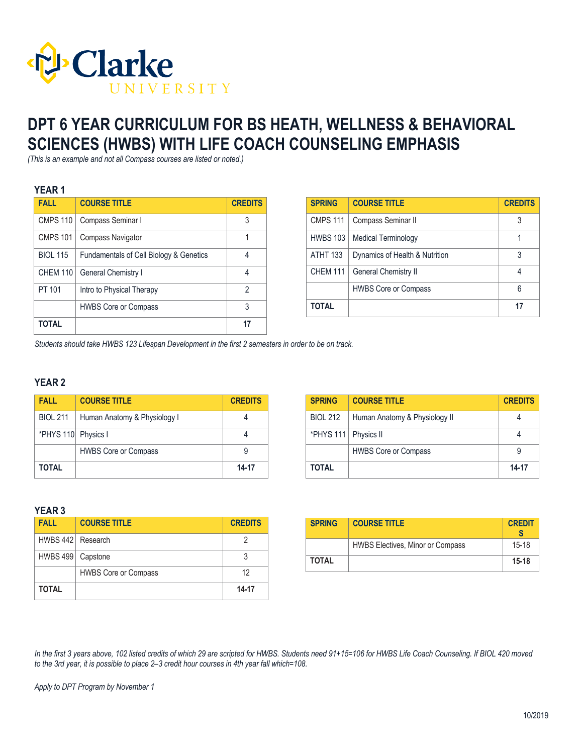

# **DPT 6 YEAR CURRICULUM FOR BS HEATH, WELLNESS & BEHAVIORAL SCIENCES (HWBS) WITH LIFE COACH COUNSELING EMPHASIS**

*(This is an example and not all Compass courses are listed or noted.)*

#### **YEAR 1**

| <b>FALL</b>     | <b>COURSE TITLE</b>                     | <b>CREDITS</b> |
|-----------------|-----------------------------------------|----------------|
| <b>CMPS 110</b> | Compass Seminar I                       | 3              |
| <b>CMPS 101</b> | Compass Navigator                       |                |
| <b>BIOL 115</b> | Fundamentals of Cell Biology & Genetics | 4              |
| <b>CHEM 110</b> | General Chemistry I                     | 4              |
| PT 101          | Intro to Physical Therapy               | 2              |
|                 | <b>HWBS Core or Compass</b>             | 3              |
| TOTAL           |                                         | 17             |

| <b>SPRING</b>   | <b>COURSE TITLE</b>            | <b>CREDITS</b> |
|-----------------|--------------------------------|----------------|
| <b>CMPS 111</b> | Compass Seminar II             | 3              |
| <b>HWBS 103</b> | <b>Medical Terminology</b>     |                |
| <b>ATHT 133</b> | Dynamics of Health & Nutrition | 3              |
| <b>CHEM 111</b> | General Chemistry II           |                |
|                 | <b>HWBS Core or Compass</b>    | 6              |
| <b>TOTAL</b>    |                                | 17             |

*Students should take HWBS 123 Lifespan Development in the first 2 semesters in order to be on track.*

## **YEAR 2**

| <b>FALL</b>         | <b>COURSE TITLE</b>          | <b>CREDITS</b> |
|---------------------|------------------------------|----------------|
| <b>BIOL 211</b>     | Human Anatomy & Physiology I |                |
| *PHYS 110 Physics I |                              |                |
|                     | <b>HWBS Core or Compass</b>  |                |
| TOTAL               |                              | 14-17          |

#### **YEAR 3**

| <b>FALL</b>         | <b>COURSE TITLE</b>         | <b>CREDITS</b> |
|---------------------|-----------------------------|----------------|
| HWBS 442   Research |                             |                |
| HWBS 499   Capstone |                             |                |
|                     | <b>HWBS Core or Compass</b> | 12             |
| TOTAL               |                             | 14-17          |

| <b>SPRING</b>          | <b>COURSE TITLE</b>           | <b>CREDITS</b> |
|------------------------|-------------------------------|----------------|
| <b>BIOL 212</b>        | Human Anatomy & Physiology II |                |
| *PHYS 111   Physics II |                               |                |
|                        | <b>HWBS Core or Compass</b>   |                |
| TOTAL                  |                               | 14-17          |

| <b>SPRING</b> | <b>COURSE TITLE</b>                     | <b>CREDIT</b> |
|---------------|-----------------------------------------|---------------|
|               | <b>HWBS Electives, Minor or Compass</b> | $15 - 18$     |
| <b>TOTAL</b>  |                                         | $15 - 18$     |

*In the first 3 years above, 102 listed credits of which 29 are scripted for HWBS. Students need 91+15=106 for HWBS Life Coach Counseling. If BIOL 420 moved to the 3rd year, it is possible to place 2–3 credit hour courses in 4th year fall which=108.*

*Apply to DPT Program by November 1*